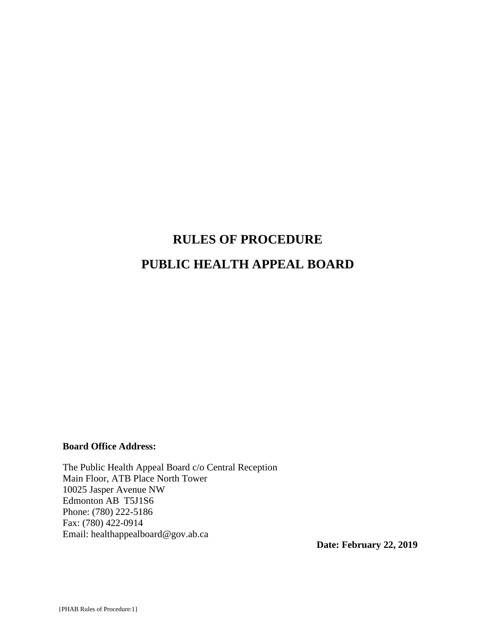# **RULES OF PROCEDURE PUBLIC HEALTH APPEAL BOARD**

#### **Board Office Address:**

The Public Health Appeal Board c/o Central Reception Main Floor, ATB Place North Tower 10025 Jasper Avenue NW Edmonton AB T5J1S6 Phone: (780) 222-5186 Fax: (780) 422-0914 Email: healthappealboard@gov.ab.ca

**Date: February 22, 2019**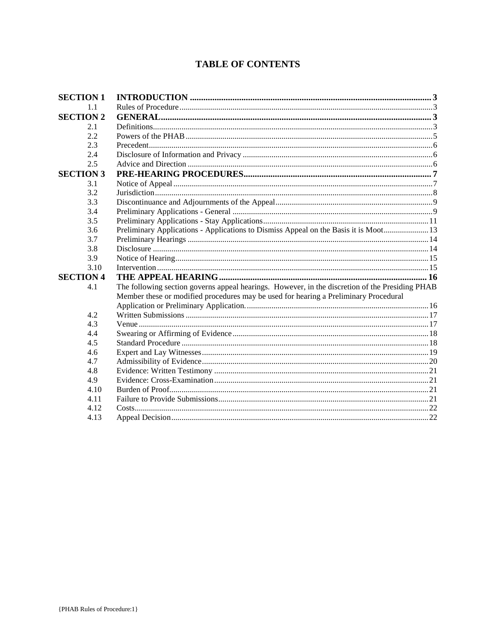# **TABLE OF CONTENTS**

| <b>SECTION 1</b> |                                                                                                 |  |  |
|------------------|-------------------------------------------------------------------------------------------------|--|--|
| 1.1              |                                                                                                 |  |  |
| <b>SECTION 2</b> |                                                                                                 |  |  |
| 2.1              |                                                                                                 |  |  |
| 2.2              |                                                                                                 |  |  |
| 2.3              |                                                                                                 |  |  |
| 2.4              |                                                                                                 |  |  |
| 2.5              |                                                                                                 |  |  |
| <b>SECTION 3</b> |                                                                                                 |  |  |
| 3.1              |                                                                                                 |  |  |
| 3.2              |                                                                                                 |  |  |
| 3.3              |                                                                                                 |  |  |
| 3.4              |                                                                                                 |  |  |
| 3.5              |                                                                                                 |  |  |
| 3.6              | Preliminary Applications - Applications to Dismiss Appeal on the Basis it is Moot 13            |  |  |
| 3.7              |                                                                                                 |  |  |
| 3.8              |                                                                                                 |  |  |
| 3.9              |                                                                                                 |  |  |
| 3.10             |                                                                                                 |  |  |
| <b>SECTION 4</b> |                                                                                                 |  |  |
| 4.1              | The following section governs appeal hearings. However, in the discretion of the Presiding PHAB |  |  |
|                  | Member these or modified procedures may be used for hearing a Preliminary Procedural            |  |  |
|                  |                                                                                                 |  |  |
| 4.2              |                                                                                                 |  |  |
| 4.3              |                                                                                                 |  |  |
| 4.4              |                                                                                                 |  |  |
| 4.5              |                                                                                                 |  |  |
| 4.6              |                                                                                                 |  |  |
| 4.7              |                                                                                                 |  |  |
| 4.8              |                                                                                                 |  |  |
| 4.9              |                                                                                                 |  |  |
| 4.10             |                                                                                                 |  |  |
| 4.11             |                                                                                                 |  |  |
| 4.12             |                                                                                                 |  |  |
| 4.13             |                                                                                                 |  |  |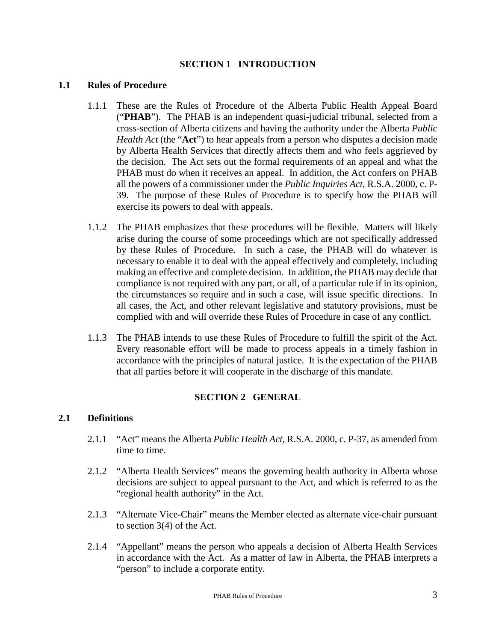# **SECTION 1 INTRODUCTION**

#### **1.1 Rules of Procedure**

- 1.1.1 These are the Rules of Procedure of the Alberta Public Health Appeal Board ("**PHAB**"). The PHAB is an independent quasi-judicial tribunal, selected from a cross-section of Alberta citizens and having the authority under the Alberta *Public Health Act* (the "**Act**") to hear appeals from a person who disputes a decision made by Alberta Health Services that directly affects them and who feels aggrieved by the decision. The Act sets out the formal requirements of an appeal and what the PHAB must do when it receives an appeal. In addition, the Act confers on PHAB all the powers of a commissioner under the *Public Inquiries Act*, R.S.A. 2000, c. P-39. The purpose of these Rules of Procedure is to specify how the PHAB will exercise its powers to deal with appeals.
- 1.1.2 The PHAB emphasizes that these procedures will be flexible. Matters will likely arise during the course of some proceedings which are not specifically addressed by these Rules of Procedure. In such a case, the PHAB will do whatever is necessary to enable it to deal with the appeal effectively and completely, including making an effective and complete decision. In addition, the PHAB may decide that compliance is not required with any part, or all, of a particular rule if in its opinion, the circumstances so require and in such a case, will issue specific directions. In all cases, the Act, and other relevant legislative and statutory provisions, must be complied with and will override these Rules of Procedure in case of any conflict.
- 1.1.3 The PHAB intends to use these Rules of Procedure to fulfill the spirit of the Act. Every reasonable effort will be made to process appeals in a timely fashion in accordance with the principles of natural justice. It is the expectation of the PHAB that all parties before it will cooperate in the discharge of this mandate.

# **SECTION 2 GENERAL**

#### **2.1 Definitions**

- 2.1.1 "Act" means the Alberta *Public Health Act*, R.S.A. 2000, c. P-37, as amended from time to time.
- 2.1.2 "Alberta Health Services" means the governing health authority in Alberta whose decisions are subject to appeal pursuant to the Act, and which is referred to as the "regional health authority" in the Act.
- 2.1.3 "Alternate Vice-Chair" means the Member elected as alternate vice-chair pursuant to section 3(4) of the Act.
- 2.1.4 "Appellant" means the person who appeals a decision of Alberta Health Services in accordance with the Act. As a matter of law in Alberta, the PHAB interprets a "person" to include a corporate entity.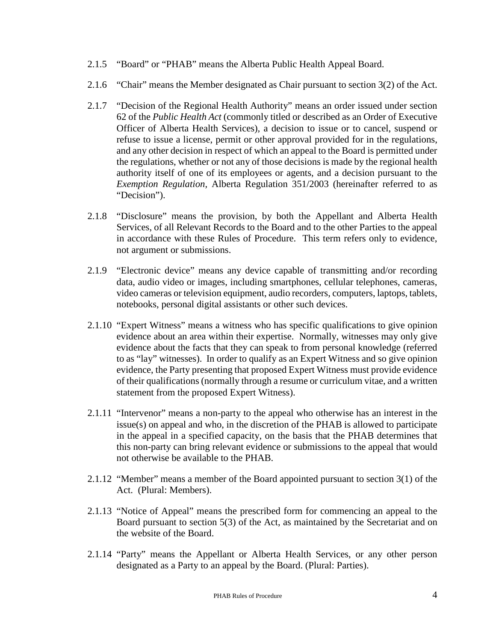- 2.1.5 "Board" or "PHAB" means the Alberta Public Health Appeal Board.
- 2.1.6 "Chair" means the Member designated as Chair pursuant to section 3(2) of the Act.
- 2.1.7 "Decision of the Regional Health Authority" means an order issued under section 62 of the *Public Health Act* (commonly titled or described as an Order of Executive Officer of Alberta Health Services)*,* a decision to issue or to cancel, suspend or refuse to issue a license, permit or other approval provided for in the regulations, and any other decision in respect of which an appeal to the Board is permitted under the regulations, whether or not any of those decisions is made by the regional health authority itself of one of its employees or agents, and a decision pursuant to the *Exemption Regulation,* Alberta Regulation 351/2003 (hereinafter referred to as "Decision").
- 2.1.8 "Disclosure" means the provision, by both the Appellant and Alberta Health Services, of all Relevant Records to the Board and to the other Parties to the appeal in accordance with these Rules of Procedure. This term refers only to evidence, not argument or submissions.
- 2.1.9 "Electronic device" means any device capable of transmitting and/or recording data, audio video or images, including smartphones, cellular telephones, cameras, video cameras or television equipment, audio recorders, computers, laptops, tablets, notebooks, personal digital assistants or other such devices.
- 2.1.10 "Expert Witness" means a witness who has specific qualifications to give opinion evidence about an area within their expertise. Normally, witnesses may only give evidence about the facts that they can speak to from personal knowledge (referred to as "lay" witnesses). In order to qualify as an Expert Witness and so give opinion evidence, the Party presenting that proposed Expert Witness must provide evidence of their qualifications (normally through a resume or curriculum vitae, and a written statement from the proposed Expert Witness).
- 2.1.11 "Intervenor" means a non-party to the appeal who otherwise has an interest in the issue(s) on appeal and who, in the discretion of the PHAB is allowed to participate in the appeal in a specified capacity, on the basis that the PHAB determines that this non-party can bring relevant evidence or submissions to the appeal that would not otherwise be available to the PHAB.
- 2.1.12 "Member" means a member of the Board appointed pursuant to section 3(1) of the Act. (Plural: Members).
- 2.1.13 "Notice of Appeal" means the prescribed form for commencing an appeal to the Board pursuant to section 5(3) of the Act, as maintained by the Secretariat and on the website of the Board.
- 2.1.14 "Party" means the Appellant or Alberta Health Services, or any other person designated as a Party to an appeal by the Board. (Plural: Parties).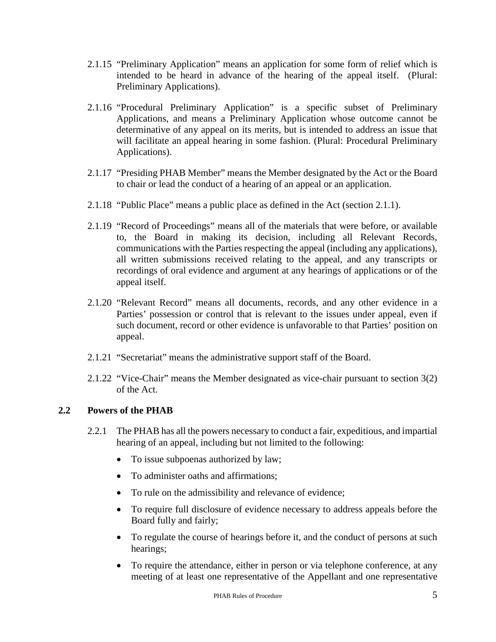- 2.1.15 "Preliminary Application" means an application for some form of relief which is intended to be heard in advance of the hearing of the appeal itself. (Plural: Preliminary Applications).
- 2.1.16 "Procedural Preliminary Application" is a specific subset of Preliminary Applications, and means a Preliminary Application whose outcome cannot be determinative of any appeal on its merits, but is intended to address an issue that will facilitate an appeal hearing in some fashion. (Plural: Procedural Preliminary Applications).
- 2.1.17 "Presiding PHAB Member" means the Member designated by the Act or the Board to chair or lead the conduct of a hearing of an appeal or an application.
- 2.1.18 "Public Place" means a public place as defined in the Act (section 2.1.1).
- 2.1.19 "Record of Proceedings" means all of the materials that were before, or available to, the Board in making its decision, including all Relevant Records, communications with the Parties respecting the appeal (including any applications), all written submissions received relating to the appeal, and any transcripts or recordings of oral evidence and argument at any hearings of applications or of the appeal itself.
- 2.1.20 "Relevant Record" means all documents, records, and any other evidence in a Parties' possession or control that is relevant to the issues under appeal, even if such document, record or other evidence is unfavorable to that Parties' position on appeal.
- 2.1.21 "Secretariat" means the administrative support staff of the Board.
- 2.1.22 "Vice-Chair" means the Member designated as vice-chair pursuant to section 3(2) of the Act.

# **2.2 Powers of the PHAB**

- 2.2.1 The PHAB has all the powers necessary to conduct a fair, expeditious, and impartial hearing of an appeal, including but not limited to the following:
	- To issue subpoenas authorized by law;
	- To administer oaths and affirmations:
	- To rule on the admissibility and relevance of evidence;
	- To require full disclosure of evidence necessary to address appeals before the Board fully and fairly;
	- To regulate the course of hearings before it, and the conduct of persons at such hearings;
	- To require the attendance, either in person or via telephone conference, at any meeting of at least one representative of the Appellant and one representative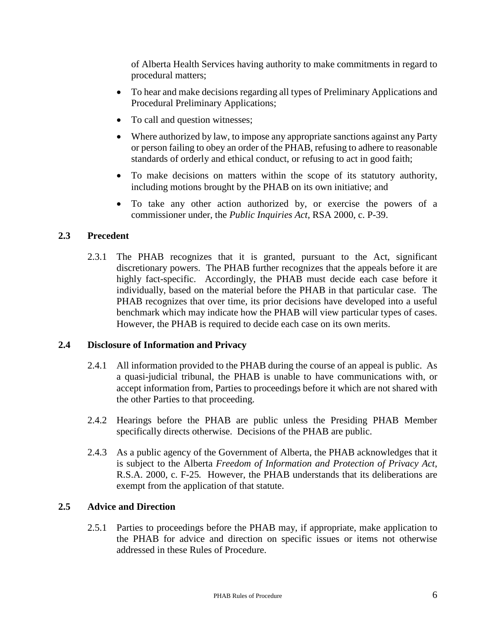of Alberta Health Services having authority to make commitments in regard to procedural matters;

- To hear and make decisions regarding all types of Preliminary Applications and Procedural Preliminary Applications;
- To call and question witnesses;
- Where authorized by law, to impose any appropriate sanctions against any Party or person failing to obey an order of the PHAB, refusing to adhere to reasonable standards of orderly and ethical conduct, or refusing to act in good faith;
- To make decisions on matters within the scope of its statutory authority, including motions brought by the PHAB on its own initiative; and
- To take any other action authorized by, or exercise the powers of a commissioner under, the *Public Inquiries Act*, RSA 2000, c. P-39.

# **2.3 Precedent**

2.3.1 The PHAB recognizes that it is granted, pursuant to the Act, significant discretionary powers. The PHAB further recognizes that the appeals before it are highly fact-specific. Accordingly, the PHAB must decide each case before it individually, based on the material before the PHAB in that particular case. The PHAB recognizes that over time, its prior decisions have developed into a useful benchmark which may indicate how the PHAB will view particular types of cases. However, the PHAB is required to decide each case on its own merits.

#### **2.4 Disclosure of Information and Privacy**

- 2.4.1 All information provided to the PHAB during the course of an appeal is public. As a quasi-judicial tribunal, the PHAB is unable to have communications with, or accept information from, Parties to proceedings before it which are not shared with the other Parties to that proceeding.
- 2.4.2 Hearings before the PHAB are public unless the Presiding PHAB Member specifically directs otherwise. Decisions of the PHAB are public.
- 2.4.3 As a public agency of the Government of Alberta, the PHAB acknowledges that it is subject to the Alberta *Freedom of Information and Protection of Privacy Act*, R.S.A. 2000, c. F-25*.* However, the PHAB understands that its deliberations are exempt from the application of that statute.

#### **2.5 Advice and Direction**

2.5.1 Parties to proceedings before the PHAB may, if appropriate, make application to the PHAB for advice and direction on specific issues or items not otherwise addressed in these Rules of Procedure.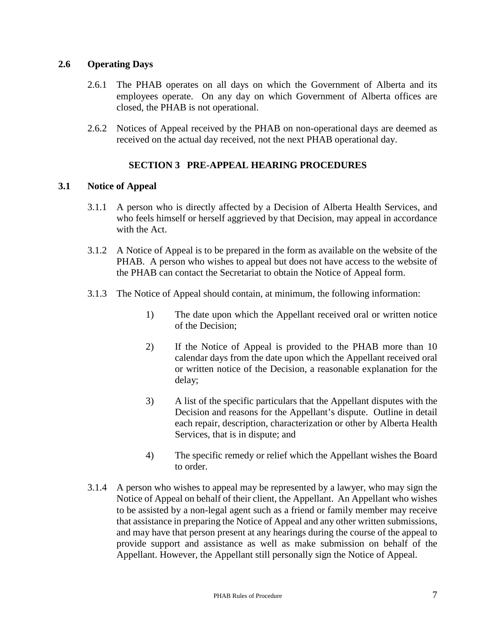## **2.6 Operating Days**

- 2.6.1 The PHAB operates on all days on which the Government of Alberta and its employees operate. On any day on which Government of Alberta offices are closed, the PHAB is not operational.
- 2.6.2 Notices of Appeal received by the PHAB on non-operational days are deemed as received on the actual day received, not the next PHAB operational day.

# **SECTION 3 PRE-APPEAL HEARING PROCEDURES**

## **3.1 Notice of Appeal**

- 3.1.1 A person who is directly affected by a Decision of Alberta Health Services, and who feels himself or herself aggrieved by that Decision, may appeal in accordance with the Act.
- 3.1.2 A Notice of Appeal is to be prepared in the form as available on the website of the PHAB. A person who wishes to appeal but does not have access to the website of the PHAB can contact the Secretariat to obtain the Notice of Appeal form.
- 3.1.3 The Notice of Appeal should contain, at minimum, the following information:
	- 1) The date upon which the Appellant received oral or written notice of the Decision;
	- 2) If the Notice of Appeal is provided to the PHAB more than 10 calendar days from the date upon which the Appellant received oral or written notice of the Decision, a reasonable explanation for the delay;
	- 3) A list of the specific particulars that the Appellant disputes with the Decision and reasons for the Appellant's dispute. Outline in detail each repair, description, characterization or other by Alberta Health Services, that is in dispute; and
	- 4) The specific remedy or relief which the Appellant wishes the Board to order.
- 3.1.4 A person who wishes to appeal may be represented by a lawyer, who may sign the Notice of Appeal on behalf of their client, the Appellant. An Appellant who wishes to be assisted by a non-legal agent such as a friend or family member may receive that assistance in preparing the Notice of Appeal and any other written submissions, and may have that person present at any hearings during the course of the appeal to provide support and assistance as well as make submission on behalf of the Appellant. However, the Appellant still personally sign the Notice of Appeal.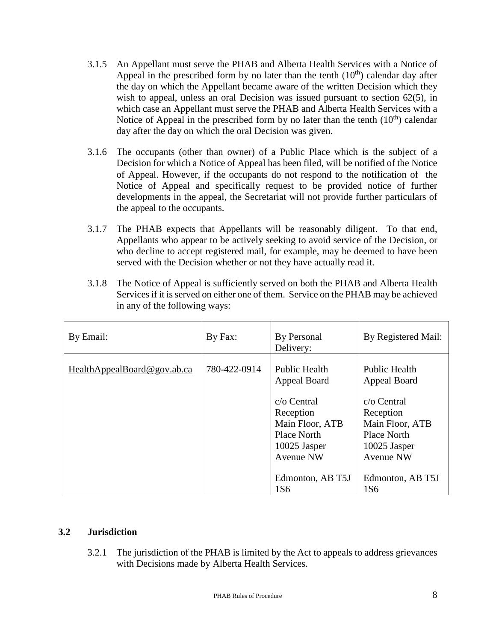- 3.1.5 An Appellant must serve the PHAB and Alberta Health Services with a Notice of Appeal in the prescribed form by no later than the tenth  $(10<sup>th</sup>)$  calendar day after the day on which the Appellant became aware of the written Decision which they wish to appeal, unless an oral Decision was issued pursuant to section 62(5), in which case an Appellant must serve the PHAB and Alberta Health Services with a Notice of Appeal in the prescribed form by no later than the tenth  $(10<sup>th</sup>)$  calendar day after the day on which the oral Decision was given.
- 3.1.6 The occupants (other than owner) of a Public Place which is the subject of a Decision for which a Notice of Appeal has been filed, will be notified of the Notice of Appeal. However, if the occupants do not respond to the notification of the Notice of Appeal and specifically request to be provided notice of further developments in the appeal, the Secretariat will not provide further particulars of the appeal to the occupants.
- 3.1.7 The PHAB expects that Appellants will be reasonably diligent. To that end, Appellants who appear to be actively seeking to avoid service of the Decision, or who decline to accept registered mail, for example, may be deemed to have been served with the Decision whether or not they have actually read it.
- 3.1.8 The Notice of Appeal is sufficiently served on both the PHAB and Alberta Health Services if it is served on either one of them. Service on the PHAB may be achieved in any of the following ways:

| By Email:                   | By Fax:      | By Personal<br>Delivery:                                                                                                    | By Registered Mail:                                                                                                         |
|-----------------------------|--------------|-----------------------------------------------------------------------------------------------------------------------------|-----------------------------------------------------------------------------------------------------------------------------|
| HealthAppealBoard@gov.ab.ca | 780-422-0914 | <b>Public Health</b><br>Appeal Board<br>$c$ o Central<br>Reception<br>Main Floor, ATB<br><b>Place North</b><br>10025 Jasper | <b>Public Health</b><br>Appeal Board<br>$c$ o Central<br>Reception<br>Main Floor, ATB<br><b>Place North</b><br>10025 Jasper |
|                             |              | <b>Avenue NW</b><br>Edmonton, AB T5J<br>1S <sub>6</sub>                                                                     | <b>Avenue NW</b><br>Edmonton, AB T5J<br>1S6                                                                                 |

#### **3.2 Jurisdiction**

3.2.1 The jurisdiction of the PHAB is limited by the Act to appeals to address grievances with Decisions made by Alberta Health Services.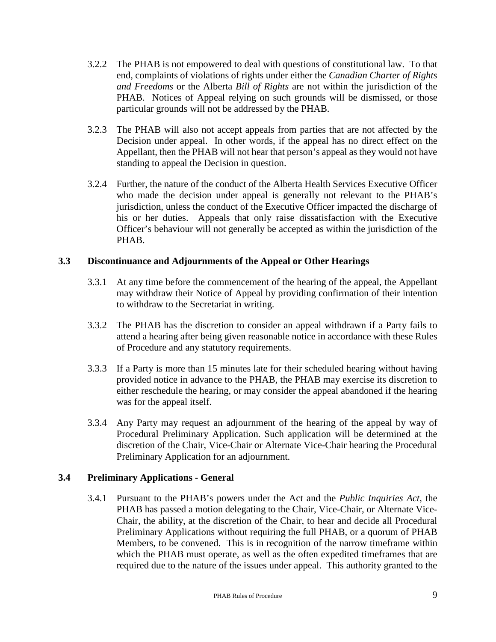- 3.2.2 The PHAB is not empowered to deal with questions of constitutional law. To that end, complaints of violations of rights under either the *Canadian Charter of Rights and Freedoms* or the Alberta *Bill of Rights* are not within the jurisdiction of the PHAB. Notices of Appeal relying on such grounds will be dismissed, or those particular grounds will not be addressed by the PHAB.
- 3.2.3 The PHAB will also not accept appeals from parties that are not affected by the Decision under appeal. In other words, if the appeal has no direct effect on the Appellant, then the PHAB will not hear that person's appeal as they would not have standing to appeal the Decision in question.
- 3.2.4 Further, the nature of the conduct of the Alberta Health Services Executive Officer who made the decision under appeal is generally not relevant to the PHAB's jurisdiction, unless the conduct of the Executive Officer impacted the discharge of his or her duties. Appeals that only raise dissatisfaction with the Executive Officer's behaviour will not generally be accepted as within the jurisdiction of the PHAB.

## **3.3 Discontinuance and Adjournments of the Appeal or Other Hearings**

- 3.3.1 At any time before the commencement of the hearing of the appeal, the Appellant may withdraw their Notice of Appeal by providing confirmation of their intention to withdraw to the Secretariat in writing.
- 3.3.2 The PHAB has the discretion to consider an appeal withdrawn if a Party fails to attend a hearing after being given reasonable notice in accordance with these Rules of Procedure and any statutory requirements.
- 3.3.3 If a Party is more than 15 minutes late for their scheduled hearing without having provided notice in advance to the PHAB, the PHAB may exercise its discretion to either reschedule the hearing, or may consider the appeal abandoned if the hearing was for the appeal itself.
- 3.3.4 Any Party may request an adjournment of the hearing of the appeal by way of Procedural Preliminary Application. Such application will be determined at the discretion of the Chair, Vice-Chair or Alternate Vice-Chair hearing the Procedural Preliminary Application for an adjournment.

#### **3.4 Preliminary Applications - General**

3.4.1 Pursuant to the PHAB's powers under the Act and the *Public Inquiries Act*, the PHAB has passed a motion delegating to the Chair, Vice-Chair, or Alternate Vice-Chair, the ability, at the discretion of the Chair, to hear and decide all Procedural Preliminary Applications without requiring the full PHAB, or a quorum of PHAB Members, to be convened. This is in recognition of the narrow timeframe within which the PHAB must operate, as well as the often expedited timeframes that are required due to the nature of the issues under appeal. This authority granted to the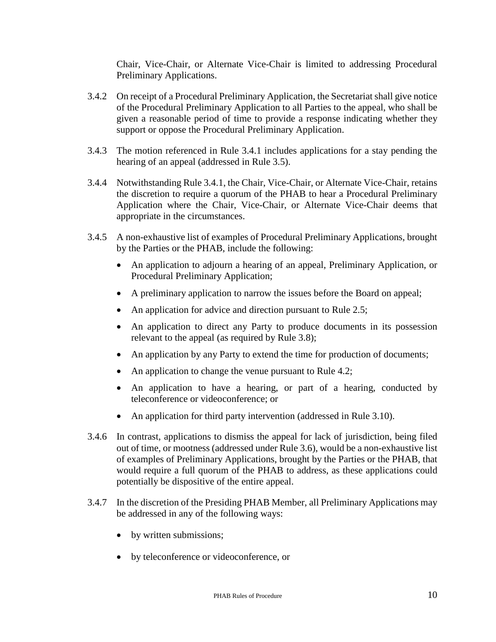Chair, Vice-Chair, or Alternate Vice-Chair is limited to addressing Procedural Preliminary Applications.

- 3.4.2 On receipt of a Procedural Preliminary Application, the Secretariat shall give notice of the Procedural Preliminary Application to all Parties to the appeal, who shall be given a reasonable period of time to provide a response indicating whether they support or oppose the Procedural Preliminary Application.
- 3.4.3 The motion referenced in Rule 3.4.1 includes applications for a stay pending the hearing of an appeal (addressed in Rule 3.5).
- 3.4.4 Notwithstanding Rule 3.4.1, the Chair, Vice-Chair, or Alternate Vice-Chair, retains the discretion to require a quorum of the PHAB to hear a Procedural Preliminary Application where the Chair, Vice-Chair, or Alternate Vice-Chair deems that appropriate in the circumstances.
- 3.4.5 A non-exhaustive list of examples of Procedural Preliminary Applications, brought by the Parties or the PHAB, include the following:
	- An application to adjourn a hearing of an appeal, Preliminary Application, or Procedural Preliminary Application;
	- A preliminary application to narrow the issues before the Board on appeal;
	- An application for advice and direction pursuant to Rule 2.5;
	- An application to direct any Party to produce documents in its possession relevant to the appeal (as required by Rule 3.8);
	- An application by any Party to extend the time for production of documents;
	- An application to change the venue pursuant to Rule 4.2;
	- An application to have a hearing, or part of a hearing, conducted by teleconference or videoconference; or
	- An application for third party intervention (addressed in Rule 3.10).
- 3.4.6 In contrast, applications to dismiss the appeal for lack of jurisdiction, being filed out of time, or mootness (addressed under Rule 3.6), would be a non-exhaustive list of examples of Preliminary Applications, brought by the Parties or the PHAB, that would require a full quorum of the PHAB to address, as these applications could potentially be dispositive of the entire appeal.
- 3.4.7 In the discretion of the Presiding PHAB Member, all Preliminary Applications may be addressed in any of the following ways:
	- by written submissions;
	- by teleconference or videoconference, or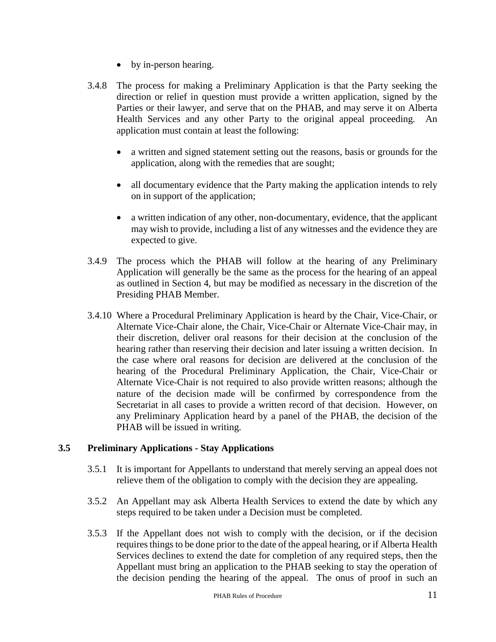- by in-person hearing.
- 3.4.8 The process for making a Preliminary Application is that the Party seeking the direction or relief in question must provide a written application, signed by the Parties or their lawyer, and serve that on the PHAB, and may serve it on Alberta Health Services and any other Party to the original appeal proceeding. An application must contain at least the following:
	- a written and signed statement setting out the reasons, basis or grounds for the application, along with the remedies that are sought;
	- all documentary evidence that the Party making the application intends to rely on in support of the application;
	- a written indication of any other, non-documentary, evidence, that the applicant may wish to provide, including a list of any witnesses and the evidence they are expected to give.
- 3.4.9 The process which the PHAB will follow at the hearing of any Preliminary Application will generally be the same as the process for the hearing of an appeal as outlined in Section 4, but may be modified as necessary in the discretion of the Presiding PHAB Member.
- 3.4.10 Where a Procedural Preliminary Application is heard by the Chair, Vice-Chair, or Alternate Vice-Chair alone, the Chair, Vice-Chair or Alternate Vice-Chair may, in their discretion, deliver oral reasons for their decision at the conclusion of the hearing rather than reserving their decision and later issuing a written decision. In the case where oral reasons for decision are delivered at the conclusion of the hearing of the Procedural Preliminary Application, the Chair, Vice-Chair or Alternate Vice-Chair is not required to also provide written reasons; although the nature of the decision made will be confirmed by correspondence from the Secretariat in all cases to provide a written record of that decision. However, on any Preliminary Application heard by a panel of the PHAB, the decision of the PHAB will be issued in writing.

# **3.5 Preliminary Applications - Stay Applications**

- 3.5.1 It is important for Appellants to understand that merely serving an appeal does not relieve them of the obligation to comply with the decision they are appealing.
- 3.5.2 An Appellant may ask Alberta Health Services to extend the date by which any steps required to be taken under a Decision must be completed.
- 3.5.3 If the Appellant does not wish to comply with the decision, or if the decision requires things to be done prior to the date of the appeal hearing, or if Alberta Health Services declines to extend the date for completion of any required steps, then the Appellant must bring an application to the PHAB seeking to stay the operation of the decision pending the hearing of the appeal. The onus of proof in such an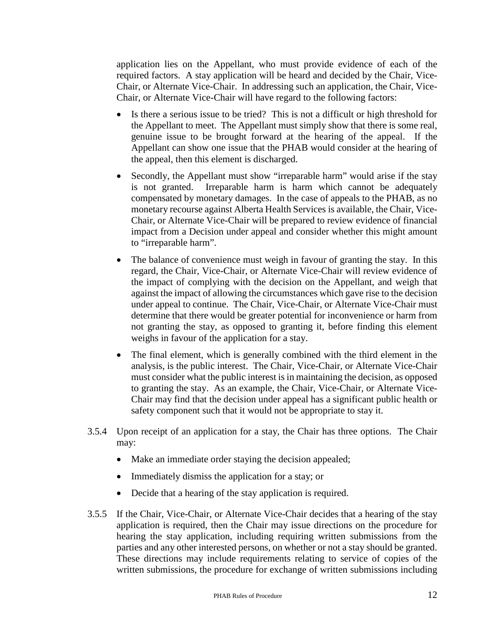application lies on the Appellant, who must provide evidence of each of the required factors. A stay application will be heard and decided by the Chair, Vice-Chair, or Alternate Vice-Chair. In addressing such an application, the Chair, Vice-Chair, or Alternate Vice-Chair will have regard to the following factors:

- Is there a serious issue to be tried? This is not a difficult or high threshold for the Appellant to meet. The Appellant must simply show that there is some real, genuine issue to be brought forward at the hearing of the appeal. If the Appellant can show one issue that the PHAB would consider at the hearing of the appeal, then this element is discharged.
- Secondly, the Appellant must show "irreparable harm" would arise if the stay is not granted. Irreparable harm is harm which cannot be adequately compensated by monetary damages. In the case of appeals to the PHAB, as no monetary recourse against Alberta Health Services is available, the Chair, Vice-Chair, or Alternate Vice-Chair will be prepared to review evidence of financial impact from a Decision under appeal and consider whether this might amount to "irreparable harm".
- The balance of convenience must weigh in favour of granting the stay. In this regard, the Chair, Vice-Chair, or Alternate Vice-Chair will review evidence of the impact of complying with the decision on the Appellant, and weigh that against the impact of allowing the circumstances which gave rise to the decision under appeal to continue. The Chair, Vice-Chair, or Alternate Vice-Chair must determine that there would be greater potential for inconvenience or harm from not granting the stay, as opposed to granting it, before finding this element weighs in favour of the application for a stay.
- The final element, which is generally combined with the third element in the analysis, is the public interest. The Chair, Vice-Chair, or Alternate Vice-Chair must consider what the public interest is in maintaining the decision, as opposed to granting the stay. As an example, the Chair, Vice-Chair, or Alternate Vice-Chair may find that the decision under appeal has a significant public health or safety component such that it would not be appropriate to stay it.
- 3.5.4 Upon receipt of an application for a stay, the Chair has three options. The Chair may:
	- Make an immediate order staying the decision appealed;
	- Immediately dismiss the application for a stay; or
	- Decide that a hearing of the stay application is required.
- 3.5.5 If the Chair, Vice-Chair, or Alternate Vice-Chair decides that a hearing of the stay application is required, then the Chair may issue directions on the procedure for hearing the stay application, including requiring written submissions from the parties and any other interested persons, on whether or not a stay should be granted. These directions may include requirements relating to service of copies of the written submissions, the procedure for exchange of written submissions including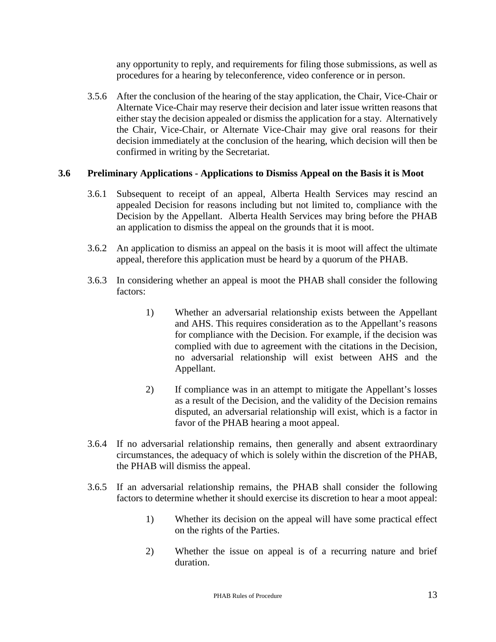any opportunity to reply, and requirements for filing those submissions, as well as procedures for a hearing by teleconference, video conference or in person.

3.5.6 After the conclusion of the hearing of the stay application, the Chair, Vice-Chair or Alternate Vice-Chair may reserve their decision and later issue written reasons that either stay the decision appealed or dismiss the application for a stay. Alternatively the Chair, Vice-Chair, or Alternate Vice-Chair may give oral reasons for their decision immediately at the conclusion of the hearing, which decision will then be confirmed in writing by the Secretariat.

## **3.6 Preliminary Applications - Applications to Dismiss Appeal on the Basis it is Moot**

- 3.6.1 Subsequent to receipt of an appeal, Alberta Health Services may rescind an appealed Decision for reasons including but not limited to, compliance with the Decision by the Appellant. Alberta Health Services may bring before the PHAB an application to dismiss the appeal on the grounds that it is moot.
- 3.6.2 An application to dismiss an appeal on the basis it is moot will affect the ultimate appeal, therefore this application must be heard by a quorum of the PHAB.
- 3.6.3 In considering whether an appeal is moot the PHAB shall consider the following factors:
	- 1) Whether an adversarial relationship exists between the Appellant and AHS. This requires consideration as to the Appellant's reasons for compliance with the Decision. For example, if the decision was complied with due to agreement with the citations in the Decision, no adversarial relationship will exist between AHS and the Appellant.
	- 2) If compliance was in an attempt to mitigate the Appellant's losses as a result of the Decision, and the validity of the Decision remains disputed, an adversarial relationship will exist, which is a factor in favor of the PHAB hearing a moot appeal.
- 3.6.4 If no adversarial relationship remains, then generally and absent extraordinary circumstances, the adequacy of which is solely within the discretion of the PHAB, the PHAB will dismiss the appeal.
- 3.6.5 If an adversarial relationship remains, the PHAB shall consider the following factors to determine whether it should exercise its discretion to hear a moot appeal:
	- 1) Whether its decision on the appeal will have some practical effect on the rights of the Parties.
	- 2) Whether the issue on appeal is of a recurring nature and brief duration.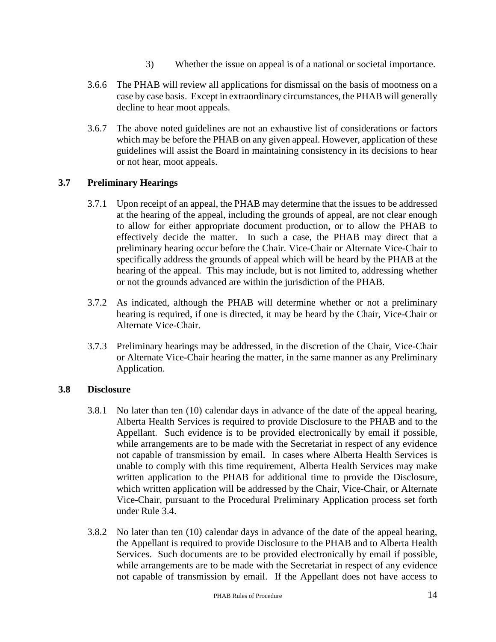- 3) Whether the issue on appeal is of a national or societal importance.
- 3.6.6 The PHAB will review all applications for dismissal on the basis of mootness on a case by case basis. Except in extraordinary circumstances, the PHAB will generally decline to hear moot appeals.
- 3.6.7 The above noted guidelines are not an exhaustive list of considerations or factors which may be before the PHAB on any given appeal. However, application of these guidelines will assist the Board in maintaining consistency in its decisions to hear or not hear, moot appeals.

## **3.7 Preliminary Hearings**

- 3.7.1 Upon receipt of an appeal, the PHAB may determine that the issues to be addressed at the hearing of the appeal, including the grounds of appeal, are not clear enough to allow for either appropriate document production, or to allow the PHAB to effectively decide the matter. In such a case, the PHAB may direct that a preliminary hearing occur before the Chair. Vice-Chair or Alternate Vice-Chair to specifically address the grounds of appeal which will be heard by the PHAB at the hearing of the appeal. This may include, but is not limited to, addressing whether or not the grounds advanced are within the jurisdiction of the PHAB.
- 3.7.2 As indicated, although the PHAB will determine whether or not a preliminary hearing is required, if one is directed, it may be heard by the Chair, Vice-Chair or Alternate Vice-Chair.
- 3.7.3 Preliminary hearings may be addressed, in the discretion of the Chair, Vice-Chair or Alternate Vice-Chair hearing the matter, in the same manner as any Preliminary Application.

#### **3.8 Disclosure**

- 3.8.1 No later than ten (10) calendar days in advance of the date of the appeal hearing, Alberta Health Services is required to provide Disclosure to the PHAB and to the Appellant. Such evidence is to be provided electronically by email if possible, while arrangements are to be made with the Secretariat in respect of any evidence not capable of transmission by email. In cases where Alberta Health Services is unable to comply with this time requirement, Alberta Health Services may make written application to the PHAB for additional time to provide the Disclosure, which written application will be addressed by the Chair, Vice-Chair, or Alternate Vice-Chair, pursuant to the Procedural Preliminary Application process set forth under Rule 3.4.
- 3.8.2 No later than ten (10) calendar days in advance of the date of the appeal hearing, the Appellant is required to provide Disclosure to the PHAB and to Alberta Health Services. Such documents are to be provided electronically by email if possible, while arrangements are to be made with the Secretariat in respect of any evidence not capable of transmission by email. If the Appellant does not have access to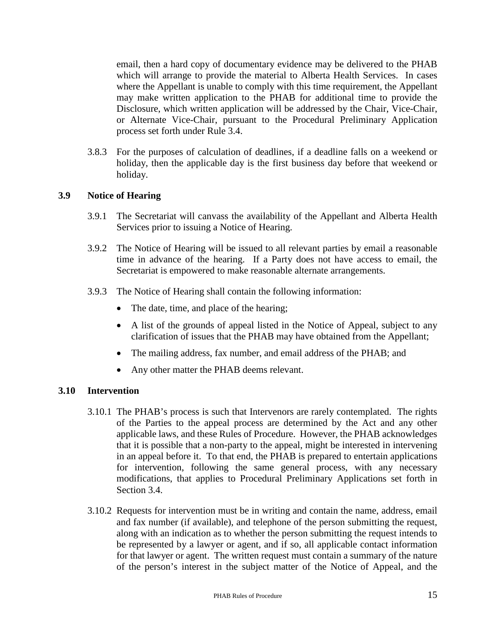email, then a hard copy of documentary evidence may be delivered to the PHAB which will arrange to provide the material to Alberta Health Services. In cases where the Appellant is unable to comply with this time requirement, the Appellant may make written application to the PHAB for additional time to provide the Disclosure, which written application will be addressed by the Chair, Vice-Chair, or Alternate Vice-Chair, pursuant to the Procedural Preliminary Application process set forth under Rule 3.4.

3.8.3 For the purposes of calculation of deadlines, if a deadline falls on a weekend or holiday, then the applicable day is the first business day before that weekend or holiday.

#### **3.9 Notice of Hearing**

- 3.9.1 The Secretariat will canvass the availability of the Appellant and Alberta Health Services prior to issuing a Notice of Hearing.
- 3.9.2 The Notice of Hearing will be issued to all relevant parties by email a reasonable time in advance of the hearing. If a Party does not have access to email, the Secretariat is empowered to make reasonable alternate arrangements.
- 3.9.3 The Notice of Hearing shall contain the following information:
	- The date, time, and place of the hearing;
	- A list of the grounds of appeal listed in the Notice of Appeal, subject to any clarification of issues that the PHAB may have obtained from the Appellant;
	- The mailing address, fax number, and email address of the PHAB; and
	- Any other matter the PHAB deems relevant.

#### **3.10 Intervention**

- 3.10.1 The PHAB's process is such that Intervenors are rarely contemplated. The rights of the Parties to the appeal process are determined by the Act and any other applicable laws, and these Rules of Procedure. However, the PHAB acknowledges that it is possible that a non-party to the appeal, might be interested in intervening in an appeal before it. To that end, the PHAB is prepared to entertain applications for intervention, following the same general process, with any necessary modifications, that applies to Procedural Preliminary Applications set forth in Section 3.4.
- 3.10.2 Requests for intervention must be in writing and contain the name, address, email and fax number (if available), and telephone of the person submitting the request, along with an indication as to whether the person submitting the request intends to be represented by a lawyer or agent, and if so, all applicable contact information for that lawyer or agent. The written request must contain a summary of the nature of the person's interest in the subject matter of the Notice of Appeal, and the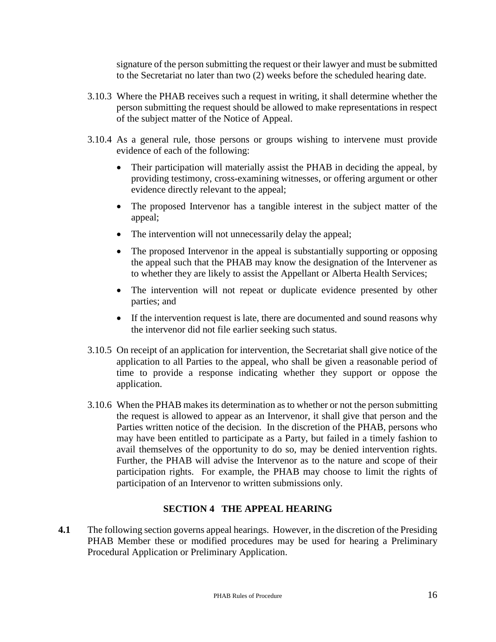signature of the person submitting the request or their lawyer and must be submitted to the Secretariat no later than two (2) weeks before the scheduled hearing date.

- 3.10.3 Where the PHAB receives such a request in writing, it shall determine whether the person submitting the request should be allowed to make representations in respect of the subject matter of the Notice of Appeal.
- 3.10.4 As a general rule, those persons or groups wishing to intervene must provide evidence of each of the following:
	- Their participation will materially assist the PHAB in deciding the appeal, by providing testimony, cross-examining witnesses, or offering argument or other evidence directly relevant to the appeal;
	- The proposed Intervenor has a tangible interest in the subject matter of the appeal;
	- The intervention will not unnecessarily delay the appeal;
	- The proposed Intervenor in the appeal is substantially supporting or opposing the appeal such that the PHAB may know the designation of the Intervener as to whether they are likely to assist the Appellant or Alberta Health Services;
	- The intervention will not repeat or duplicate evidence presented by other parties; and
	- If the intervention request is late, there are documented and sound reasons why the intervenor did not file earlier seeking such status.
- 3.10.5 On receipt of an application for intervention, the Secretariat shall give notice of the application to all Parties to the appeal, who shall be given a reasonable period of time to provide a response indicating whether they support or oppose the application.
- 3.10.6 When the PHAB makes its determination as to whether or not the person submitting the request is allowed to appear as an Intervenor, it shall give that person and the Parties written notice of the decision. In the discretion of the PHAB, persons who may have been entitled to participate as a Party, but failed in a timely fashion to avail themselves of the opportunity to do so, may be denied intervention rights. Further, the PHAB will advise the Intervenor as to the nature and scope of their participation rights. For example, the PHAB may choose to limit the rights of participation of an Intervenor to written submissions only.

# **SECTION 4 THE APPEAL HEARING**

**4.1** The following section governs appeal hearings. However, in the discretion of the Presiding PHAB Member these or modified procedures may be used for hearing a Preliminary Procedural Application or Preliminary Application.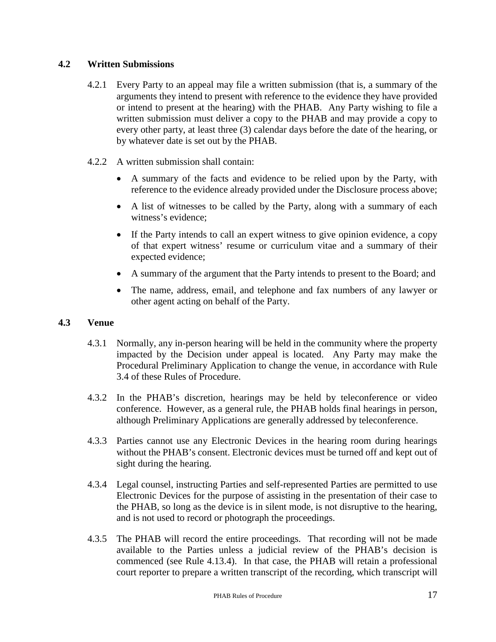# **4.2 Written Submissions**

- 4.2.1 Every Party to an appeal may file a written submission (that is, a summary of the arguments they intend to present with reference to the evidence they have provided or intend to present at the hearing) with the PHAB. Any Party wishing to file a written submission must deliver a copy to the PHAB and may provide a copy to every other party, at least three (3) calendar days before the date of the hearing, or by whatever date is set out by the PHAB.
- 4.2.2 A written submission shall contain:
	- A summary of the facts and evidence to be relied upon by the Party, with reference to the evidence already provided under the Disclosure process above;
	- A list of witnesses to be called by the Party, along with a summary of each witness's evidence;
	- If the Party intends to call an expert witness to give opinion evidence, a copy of that expert witness' resume or curriculum vitae and a summary of their expected evidence;
	- A summary of the argument that the Party intends to present to the Board; and
	- The name, address, email, and telephone and fax numbers of any lawyer or other agent acting on behalf of the Party.

#### **4.3 Venue**

- 4.3.1 Normally, any in-person hearing will be held in the community where the property impacted by the Decision under appeal is located. Any Party may make the Procedural Preliminary Application to change the venue, in accordance with Rule 3.4 of these Rules of Procedure.
- 4.3.2 In the PHAB's discretion, hearings may be held by teleconference or video conference. However, as a general rule, the PHAB holds final hearings in person, although Preliminary Applications are generally addressed by teleconference.
- 4.3.3 Parties cannot use any Electronic Devices in the hearing room during hearings without the PHAB's consent. Electronic devices must be turned off and kept out of sight during the hearing.
- 4.3.4 Legal counsel, instructing Parties and self-represented Parties are permitted to use Electronic Devices for the purpose of assisting in the presentation of their case to the PHAB, so long as the device is in silent mode, is not disruptive to the hearing, and is not used to record or photograph the proceedings.
- 4.3.5 The PHAB will record the entire proceedings. That recording will not be made available to the Parties unless a judicial review of the PHAB's decision is commenced (see Rule 4.13.4). In that case, the PHAB will retain a professional court reporter to prepare a written transcript of the recording, which transcript will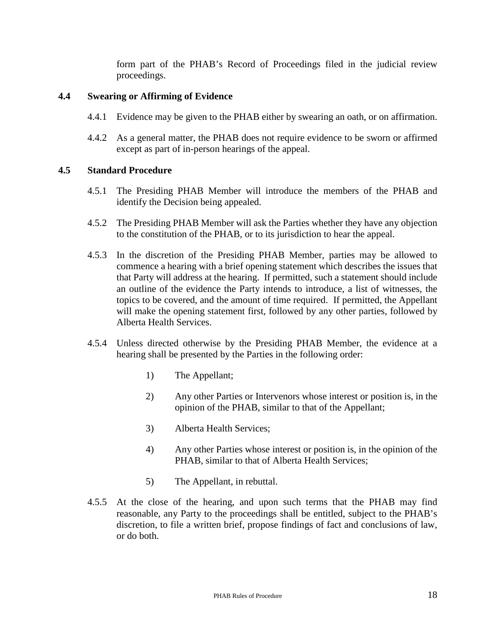form part of the PHAB's Record of Proceedings filed in the judicial review proceedings.

#### **4.4 Swearing or Affirming of Evidence**

- 4.4.1 Evidence may be given to the PHAB either by swearing an oath, or on affirmation.
- 4.4.2 As a general matter, the PHAB does not require evidence to be sworn or affirmed except as part of in-person hearings of the appeal.

## **4.5 Standard Procedure**

- 4.5.1 The Presiding PHAB Member will introduce the members of the PHAB and identify the Decision being appealed.
- 4.5.2 The Presiding PHAB Member will ask the Parties whether they have any objection to the constitution of the PHAB, or to its jurisdiction to hear the appeal.
- 4.5.3 In the discretion of the Presiding PHAB Member, parties may be allowed to commence a hearing with a brief opening statement which describes the issues that that Party will address at the hearing. If permitted, such a statement should include an outline of the evidence the Party intends to introduce, a list of witnesses, the topics to be covered, and the amount of time required. If permitted, the Appellant will make the opening statement first, followed by any other parties, followed by Alberta Health Services.
- 4.5.4 Unless directed otherwise by the Presiding PHAB Member, the evidence at a hearing shall be presented by the Parties in the following order:
	- 1) The Appellant;
	- 2) Any other Parties or Intervenors whose interest or position is, in the opinion of the PHAB, similar to that of the Appellant;
	- 3) Alberta Health Services;
	- 4) Any other Parties whose interest or position is, in the opinion of the PHAB, similar to that of Alberta Health Services;
	- 5) The Appellant, in rebuttal.
- 4.5.5 At the close of the hearing, and upon such terms that the PHAB may find reasonable, any Party to the proceedings shall be entitled, subject to the PHAB's discretion, to file a written brief, propose findings of fact and conclusions of law, or do both.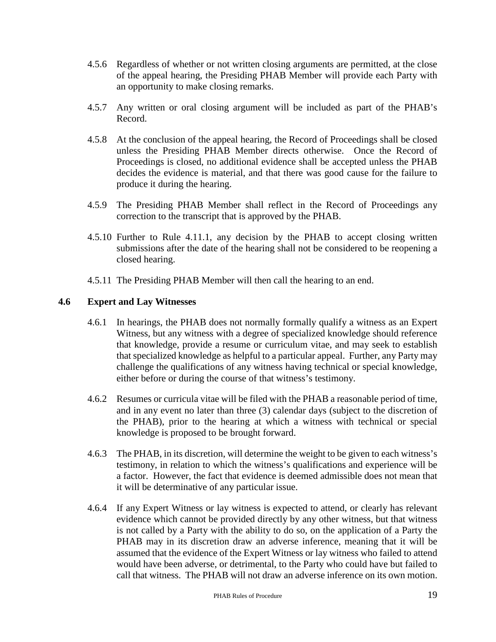- 4.5.6 Regardless of whether or not written closing arguments are permitted, at the close of the appeal hearing, the Presiding PHAB Member will provide each Party with an opportunity to make closing remarks.
- 4.5.7 Any written or oral closing argument will be included as part of the PHAB's Record.
- 4.5.8 At the conclusion of the appeal hearing, the Record of Proceedings shall be closed unless the Presiding PHAB Member directs otherwise. Once the Record of Proceedings is closed, no additional evidence shall be accepted unless the PHAB decides the evidence is material, and that there was good cause for the failure to produce it during the hearing.
- 4.5.9 The Presiding PHAB Member shall reflect in the Record of Proceedings any correction to the transcript that is approved by the PHAB.
- 4.5.10 Further to Rule 4.11.1, any decision by the PHAB to accept closing written submissions after the date of the hearing shall not be considered to be reopening a closed hearing.
- 4.5.11 The Presiding PHAB Member will then call the hearing to an end.

## **4.6 Expert and Lay Witnesses**

- 4.6.1 In hearings, the PHAB does not normally formally qualify a witness as an Expert Witness, but any witness with a degree of specialized knowledge should reference that knowledge, provide a resume or curriculum vitae, and may seek to establish that specialized knowledge as helpful to a particular appeal. Further, any Party may challenge the qualifications of any witness having technical or special knowledge, either before or during the course of that witness's testimony.
- 4.6.2 Resumes or curricula vitae will be filed with the PHAB a reasonable period of time, and in any event no later than three (3) calendar days (subject to the discretion of the PHAB), prior to the hearing at which a witness with technical or special knowledge is proposed to be brought forward.
- 4.6.3 The PHAB, in its discretion, will determine the weight to be given to each witness's testimony, in relation to which the witness's qualifications and experience will be a factor. However, the fact that evidence is deemed admissible does not mean that it will be determinative of any particular issue.
- 4.6.4 If any Expert Witness or lay witness is expected to attend, or clearly has relevant evidence which cannot be provided directly by any other witness, but that witness is not called by a Party with the ability to do so, on the application of a Party the PHAB may in its discretion draw an adverse inference, meaning that it will be assumed that the evidence of the Expert Witness or lay witness who failed to attend would have been adverse, or detrimental, to the Party who could have but failed to call that witness. The PHAB will not draw an adverse inference on its own motion.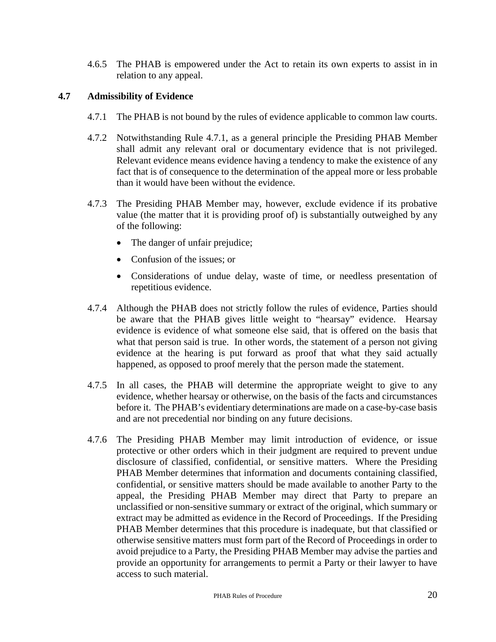4.6.5 The PHAB is empowered under the Act to retain its own experts to assist in in relation to any appeal.

# **4.7 Admissibility of Evidence**

- 4.7.1 The PHAB is not bound by the rules of evidence applicable to common law courts.
- 4.7.2 Notwithstanding Rule 4.7.1, as a general principle the Presiding PHAB Member shall admit any relevant oral or documentary evidence that is not privileged. Relevant evidence means evidence having a tendency to make the existence of any fact that is of consequence to the determination of the appeal more or less probable than it would have been without the evidence.
- 4.7.3 The Presiding PHAB Member may, however, exclude evidence if its probative value (the matter that it is providing proof of) is substantially outweighed by any of the following:
	- The danger of unfair prejudice;
	- Confusion of the issues: or
	- Considerations of undue delay, waste of time, or needless presentation of repetitious evidence.
- 4.7.4 Although the PHAB does not strictly follow the rules of evidence, Parties should be aware that the PHAB gives little weight to "hearsay" evidence. Hearsay evidence is evidence of what someone else said, that is offered on the basis that what that person said is true. In other words, the statement of a person not giving evidence at the hearing is put forward as proof that what they said actually happened, as opposed to proof merely that the person made the statement.
- 4.7.5 In all cases, the PHAB will determine the appropriate weight to give to any evidence, whether hearsay or otherwise, on the basis of the facts and circumstances before it. The PHAB's evidentiary determinations are made on a case-by-case basis and are not precedential nor binding on any future decisions.
- 4.7.6 The Presiding PHAB Member may limit introduction of evidence, or issue protective or other orders which in their judgment are required to prevent undue disclosure of classified, confidential, or sensitive matters. Where the Presiding PHAB Member determines that information and documents containing classified, confidential, or sensitive matters should be made available to another Party to the appeal, the Presiding PHAB Member may direct that Party to prepare an unclassified or non-sensitive summary or extract of the original, which summary or extract may be admitted as evidence in the Record of Proceedings. If the Presiding PHAB Member determines that this procedure is inadequate, but that classified or otherwise sensitive matters must form part of the Record of Proceedings in order to avoid prejudice to a Party, the Presiding PHAB Member may advise the parties and provide an opportunity for arrangements to permit a Party or their lawyer to have access to such material.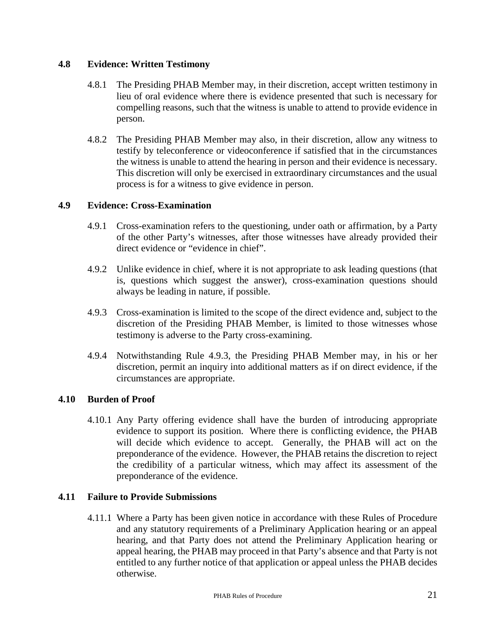# **4.8 Evidence: Written Testimony**

- 4.8.1 The Presiding PHAB Member may, in their discretion, accept written testimony in lieu of oral evidence where there is evidence presented that such is necessary for compelling reasons, such that the witness is unable to attend to provide evidence in person.
- 4.8.2 The Presiding PHAB Member may also, in their discretion, allow any witness to testify by teleconference or videoconference if satisfied that in the circumstances the witness is unable to attend the hearing in person and their evidence is necessary. This discretion will only be exercised in extraordinary circumstances and the usual process is for a witness to give evidence in person.

# **4.9 Evidence: Cross-Examination**

- 4.9.1 Cross-examination refers to the questioning, under oath or affirmation, by a Party of the other Party's witnesses, after those witnesses have already provided their direct evidence or "evidence in chief".
- 4.9.2 Unlike evidence in chief, where it is not appropriate to ask leading questions (that is, questions which suggest the answer), cross-examination questions should always be leading in nature, if possible.
- 4.9.3 Cross-examination is limited to the scope of the direct evidence and, subject to the discretion of the Presiding PHAB Member, is limited to those witnesses whose testimony is adverse to the Party cross-examining.
- 4.9.4 Notwithstanding Rule 4.9.3, the Presiding PHAB Member may, in his or her discretion, permit an inquiry into additional matters as if on direct evidence, if the circumstances are appropriate.

# **4.10 Burden of Proof**

4.10.1 Any Party offering evidence shall have the burden of introducing appropriate evidence to support its position. Where there is conflicting evidence, the PHAB will decide which evidence to accept. Generally, the PHAB will act on the preponderance of the evidence. However, the PHAB retains the discretion to reject the credibility of a particular witness, which may affect its assessment of the preponderance of the evidence.

#### **4.11 Failure to Provide Submissions**

4.11.1 Where a Party has been given notice in accordance with these Rules of Procedure and any statutory requirements of a Preliminary Application hearing or an appeal hearing, and that Party does not attend the Preliminary Application hearing or appeal hearing, the PHAB may proceed in that Party's absence and that Party is not entitled to any further notice of that application or appeal unless the PHAB decides otherwise.